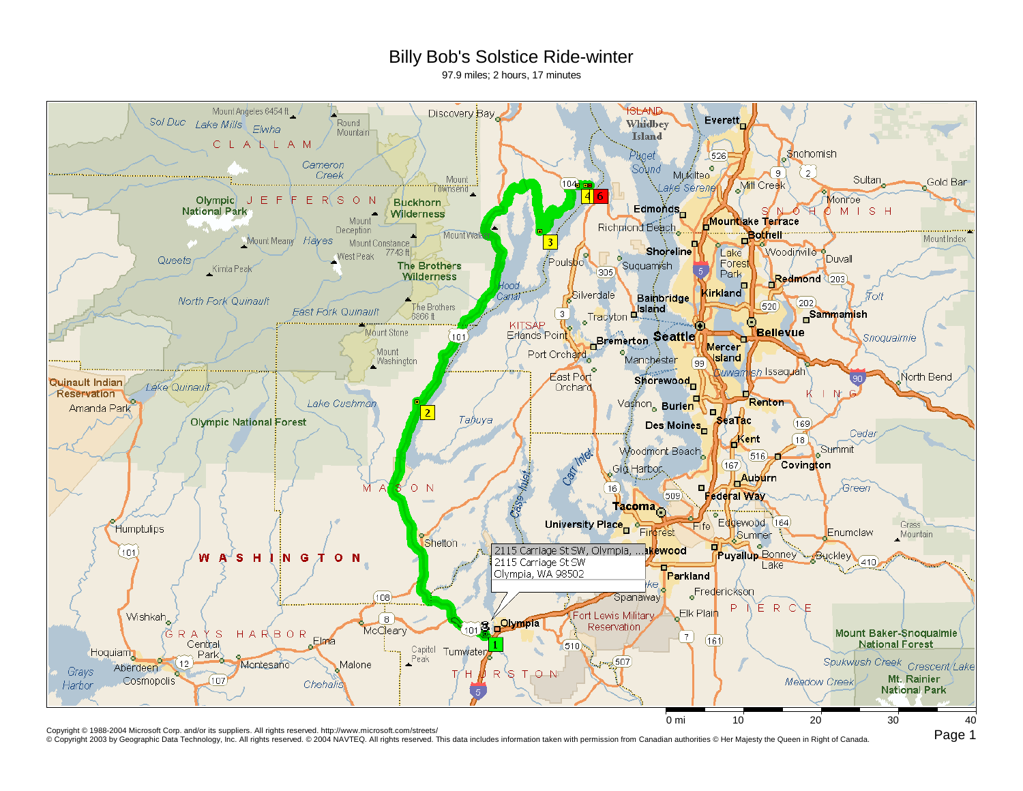## Billy Bob's Solstice Ride-winter

97.9 miles; 2 hours, 17 minutes



Copyright © 1988-2004 Microsoft Corp. and/or its suppliers. All rights reserved. http://www.microsoft.com/streets/<br>© Copyright 2003 by Geographic Data Technology, Inc. All rights reserved. © 2004 NAVTEQ. All rights reserve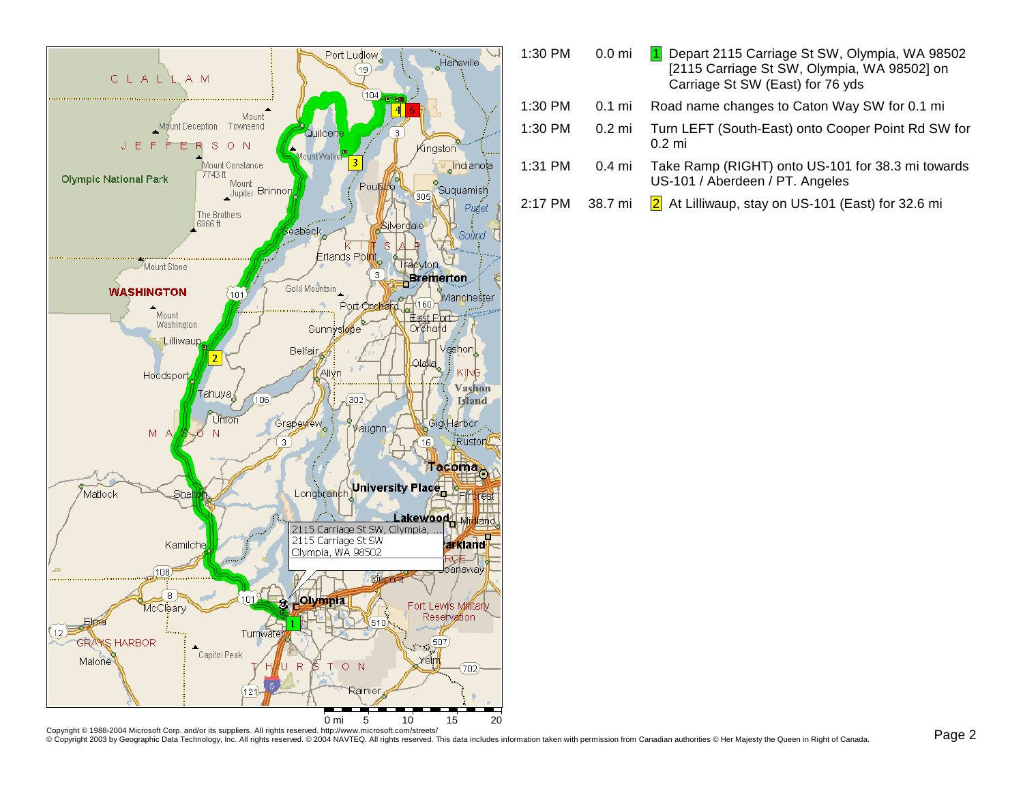

| 1:30 PM | 0.0 <sub>mi</sub> | Depart 2115 Carriage St SW, Olympia, WA 98502<br>[2115 Carriage St SW, Olympia, WA 98502] on<br>Carriage St SW (East) for 76 yds |
|---------|-------------------|----------------------------------------------------------------------------------------------------------------------------------|
| 1:30 PM | 0.1 mi            | Road name changes to Caton Way SW for 0.1 mi                                                                                     |
| 1:30 PM | $0.2 \text{ mi}$  | Turn LEFT (South-East) onto Cooper Point Rd SW for<br>$0.2$ mi                                                                   |
| 1:31 PM | 0.4 mi            | Take Ramp (RIGHT) onto US-101 for 38.3 mi towards<br>US-101 / Aberdeen / PT. Angeles                                             |
|         |                   |                                                                                                                                  |

2:17 PM 38.7 mi <mark>2</mark> At Lilliwaup, stay on US-101 (East) for 32.6 mi

Copyright © 1988-2004 Microsoft Corp. and/or its suppliers. All rights reserved. http://www.microsoft.com/streets/<br>© Copyright 2003 by Geographic Data Technology, Inc. All rights reserved. © 2004 NAVTEQ. All rights reserve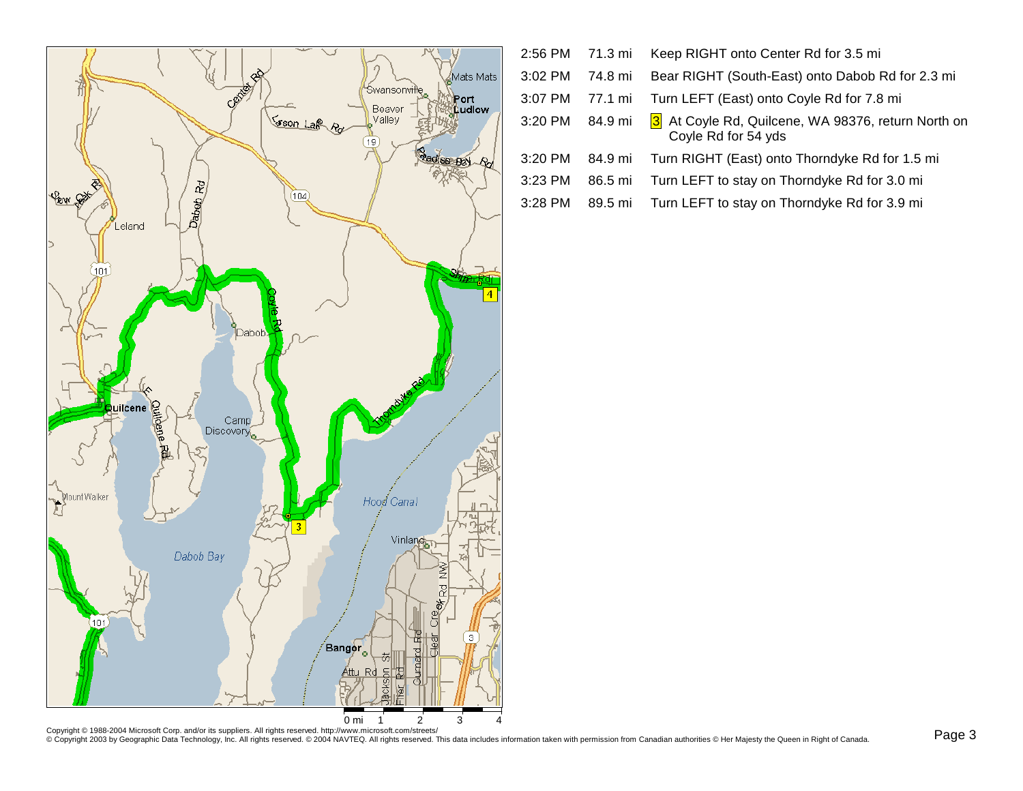

|           |         | 2:56 PM 71.3 mi Keep RIGHT onto Center Rd for 3.5 mi                                      |
|-----------|---------|-------------------------------------------------------------------------------------------|
| $3:02$ PM | 74.8 mi | Bear RIGHT (South-East) onto Dabob Rd for 2.3 mi                                          |
|           |         | 3:07 PM 77.1 mi Turn LEFT (East) onto Coyle Rd for 7.8 mi                                 |
|           |         | 3:20 PM 84.9 mi 3 At Coyle Rd, Quilcene, WA 98376, return North on<br>Coyle Rd for 54 yds |
| 3:20 PM   |         | 84.9 mi Turn RIGHT (East) onto Thorndyke Rd for 1.5 mi                                    |

3:23 PM86.5 mi Turn LEFT to stay on Thorndyke Rd for 3.0 mi

3:28 PM89.5 mi Turn LEFT to stay on Thorndyke Rd for 3.9 mi